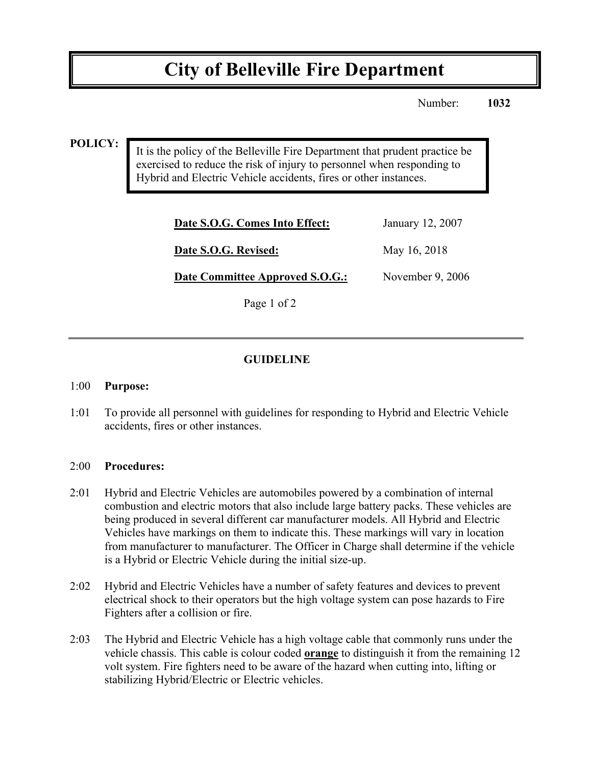# **City of Belleville Fire Department**

Number: **1032**

### **POLICY:**

It is the policy of the Belleville Fire Department that prudent practice be exercised to reduce the risk of injury to personnel when responding to Hybrid and Electric Vehicle accidents, fires or other instances.

| Date S.O.G. Comes Into Effect:  | January 12, 2007   |
|---------------------------------|--------------------|
| Date S.O.G. Revised:            | May 16, 2018       |
| Date Committee Approved S.O.G.: | November $9, 2006$ |
| Page 1 of 2                     |                    |

## **GUIDELINE**

#### 1:00 **Purpose:**

1:01 To provide all personnel with guidelines for responding to Hybrid and Electric Vehicle accidents, fires or other instances.

#### 2:00 **Procedures:**

- 2:01 Hybrid and Electric Vehicles are automobiles powered by a combination of internal combustion and electric motors that also include large battery packs. These vehicles are being produced in several different car manufacturer models. All Hybrid and Electric Vehicles have markings on them to indicate this. These markings will vary in location from manufacturer to manufacturer. The Officer in Charge shall determine if the vehicle is a Hybrid or Electric Vehicle during the initial size-up.
- 2:02 Hybrid and Electric Vehicles have a number of safety features and devices to prevent electrical shock to their operators but the high voltage system can pose hazards to Fire Fighters after a collision or fire.
- 2:03 The Hybrid and Electric Vehicle has a high voltage cable that commonly runs under the vehicle chassis. This cable is colour coded **orange** to distinguish it from the remaining 12 volt system. Fire fighters need to be aware of the hazard when cutting into, lifting or stabilizing Hybrid/Electric or Electric vehicles.